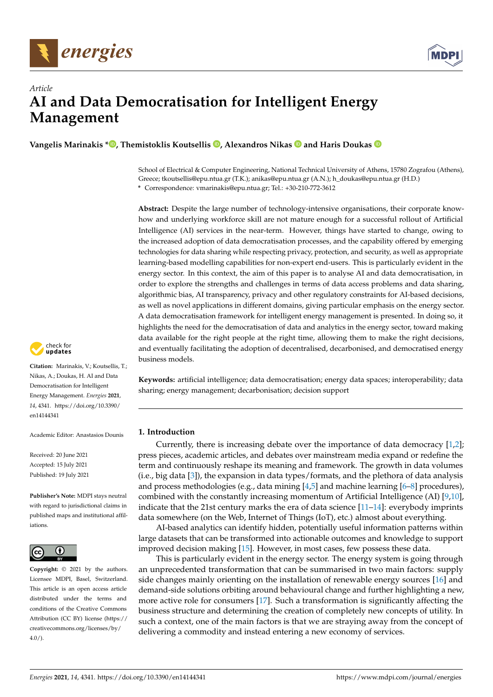



# *Article* **AI and Data Democratisation for Intelligent Energy Management**

**Vangelis Marinakis [\\*](https://orcid.org/0000-0001-5488-4006) , Themistoklis Koutsellis [,](https://orcid.org/0000-0001-5407-5962) Alexandros Nikas and Haris Doukas**

School of Electrical & Computer Engineering, National Technical University of Athens, 15780 Zografou (Athens), Greece; tkoutsellis@epu.ntua.gr (T.K.); anikas@epu.ntua.gr (A.N.); h\_doukas@epu.ntua.gr (H.D.) **\*** Correspondence: vmarinakis@epu.ntua.gr; Tel.: +30-210-772-3612

**Abstract:** Despite the large number of technology-intensive organisations, their corporate knowhow and underlying workforce skill are not mature enough for a successful rollout of Artificial Intelligence (AI) services in the near-term. However, things have started to change, owing to the increased adoption of data democratisation processes, and the capability offered by emerging technologies for data sharing while respecting privacy, protection, and security, as well as appropriate learning-based modelling capabilities for non-expert end-users. This is particularly evident in the energy sector. In this context, the aim of this paper is to analyse AI and data democratisation, in order to explore the strengths and challenges in terms of data access problems and data sharing, algorithmic bias, AI transparency, privacy and other regulatory constraints for AI-based decisions, as well as novel applications in different domains, giving particular emphasis on the energy sector. A data democratisation framework for intelligent energy management is presented. In doing so, it highlights the need for the democratisation of data and analytics in the energy sector, toward making data available for the right people at the right time, allowing them to make the right decisions, and eventually facilitating the adoption of decentralised, decarbonised, and democratised energy business models.

**Keywords:** artificial intelligence; data democratisation; energy data spaces; interoperability; data sharing; energy management; decarbonisation; decision support

# **1. Introduction**

Currently, there is increasing debate over the importance of data democracy [\[1,](#page-10-0)[2\]](#page-10-1); press pieces, academic articles, and debates over mainstream media expand or redefine the term and continuously reshape its meaning and framework. The growth in data volumes (i.e., big data [\[3\]](#page-10-2)), the expansion in data types/formats, and the plethora of data analysis and process methodologies (e.g., data mining  $[4,5]$  $[4,5]$  and machine learning  $[6-8]$  $[6-8]$  procedures), combined with the constantly increasing momentum of Artificial Intelligence (AI) [\[9,](#page-10-7)[10\]](#page-11-0), indicate that the 21st century marks the era of data science  $[11-14]$  $[11-14]$ : everybody imprints data somewhere (on the Web, Internet of Things (IoT), etc.) almost about everything.

AI-based analytics can identify hidden, potentially useful information patterns within large datasets that can be transformed into actionable outcomes and knowledge to support improved decision making [\[15\]](#page-11-3). However, in most cases, few possess these data.

This is particularly evident in the energy sector. The energy system is going through an unprecedented transformation that can be summarised in two main factors: supply side changes mainly orienting on the installation of renewable energy sources [\[16\]](#page-11-4) and demand-side solutions orbiting around behavioural change and further highlighting a new, more active role for consumers [\[17\]](#page-11-5). Such a transformation is significantly affecting the business structure and determining the creation of completely new concepts of utility. In such a context, one of the main factors is that we are straying away from the concept of delivering a commodity and instead entering a new economy of services.



**Citation:** Marinakis, V.; Koutsellis, T.; Nikas, A.; Doukas, H. AI and Data Democratisation for Intelligent Energy Management. *Energies* **2021**, *14*, 4341. [https://doi.org/10.3390/](https://doi.org/10.3390/en14144341) [en14144341](https://doi.org/10.3390/en14144341)

Academic Editor: Anastasios Dounis

Received: 20 June 2021 Accepted: 15 July 2021 Published: 19 July 2021

**Publisher's Note:** MDPI stays neutral with regard to jurisdictional claims in published maps and institutional affiliations.



**Copyright:** © 2021 by the authors. Licensee MDPI, Basel, Switzerland. This article is an open access article distributed under the terms and conditions of the Creative Commons Attribution (CC BY) license (https:/[/](https://creativecommons.org/licenses/by/4.0/) [creativecommons.org/licenses/by/](https://creativecommons.org/licenses/by/4.0/)  $4.0/$ ).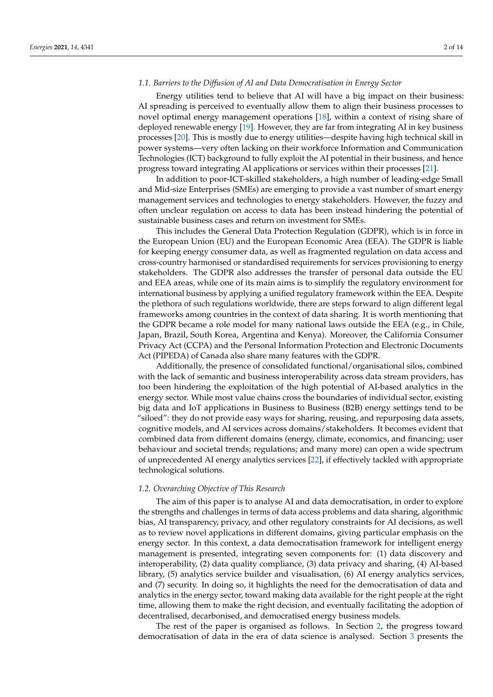#### *1.1. Barriers to the Diffusion of AI and Data Democratisation in Energy Sector*

Energy utilities tend to believe that AI will have a big impact on their business: AI spreading is perceived to eventually allow them to align their business processes to novel optimal energy management operations [\[18\]](#page-11-6), within a context of rising share of deployed renewable energy [\[19\]](#page-11-7). However, they are far from integrating AI in key business processes [\[20\]](#page-11-8). This is mostly due to energy utilities—despite having high technical skill in power systems—very often lacking on their workforce Information and Communication Technologies (ICT) background to fully exploit the AI potential in their business, and hence progress toward integrating AI applications or services within their processes [\[21\]](#page-11-9).

In addition to poor-ICT-skilled stakeholders, a high number of leading-edge Small and Mid-size Enterprises (SMEs) are emerging to provide a vast number of smart energy management services and technologies to energy stakeholders. However, the fuzzy and often unclear regulation on access to data has been instead hindering the potential of sustainable business cases and return on investment for SMEs.

This includes the General Data Protection Regulation (GDPR), which is in force in the European Union (EU) and the European Economic Area (EEA). The GDPR is liable for keeping energy consumer data, as well as fragmented regulation on data access and cross-country harmonised or standardised requirements for services provisioning to energy stakeholders. The GDPR also addresses the transfer of personal data outside the EU and EEA areas, while one of its main aims is to simplify the regulatory environment for international business by applying a unified regulatory framework within the EEA. Despite the plethora of such regulations worldwide, there are steps forward to align different legal frameworks among countries in the context of data sharing. It is worth mentioning that the GDPR became a role model for many national laws outside the EEA (e.g., in Chile, Japan, Brazil, South Korea, Argentina and Kenya). Moreover, the California Consumer Privacy Act (CCPA) and the Personal Information Protection and Electronic Documents Act (PIPEDA) of Canada also share many features with the GDPR.

Additionally, the presence of consolidated functional/organisational silos, combined with the lack of semantic and business interoperability across data stream providers, has too been hindering the exploitation of the high potential of AI-based analytics in the energy sector. While most value chains cross the boundaries of individual sector, existing big data and IoT applications in Business to Business (B2B) energy settings tend to be "siloed": they do not provide easy ways for sharing, reusing, and repurposing data assets, cognitive models, and AI services across domains/stakeholders. It becomes evident that combined data from different domains (energy, climate, economics, and financing; user behaviour and societal trends; regulations; and many more) can open a wide spectrum of unprecedented AI energy analytics services [\[22\]](#page-11-10), if effectively tackled with appropriate technological solutions.

#### *1.2. Overarching Objective of This Research*

The aim of this paper is to analyse AI and data democratisation, in order to explore the strengths and challenges in terms of data access problems and data sharing, algorithmic bias, AI transparency, privacy, and other regulatory constraints for AI decisions, as well as to review novel applications in different domains, giving particular emphasis on the energy sector. In this context, a data democratisation framework for intelligent energy management is presented, integrating seven components for: (1) data discovery and interoperability, (2) data quality compliance, (3) data privacy and sharing, (4) AI-based library, (5) analytics service builder and visualisation, (6) AI energy analytics services, and (7) security. In doing so, it highlights the need for the democratisation of data and analytics in the energy sector, toward making data available for the right people at the right time, allowing them to make the right decision, and eventually facilitating the adoption of decentralised, decarbonised, and democratised energy business models.

The rest of the paper is organised as follows. In Section [2,](#page-2-0) the progress toward democratisation of data in the era of data science is analysed. Section [3](#page-4-0) presents the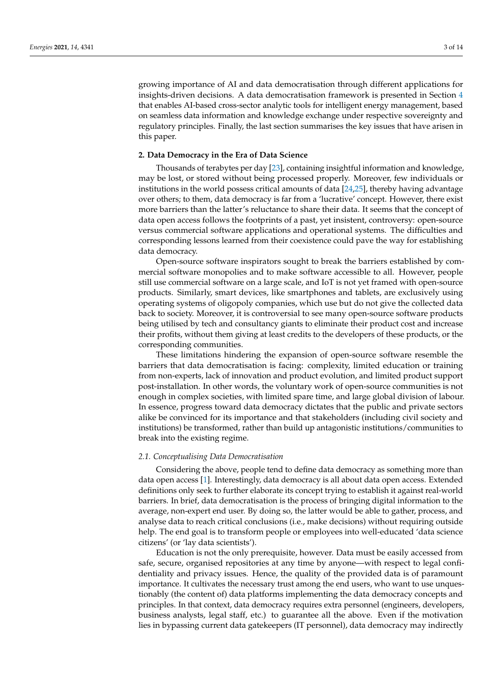growing importance of AI and data democratisation through different applications for insights-driven decisions. A data democratisation framework is presented in Section [4](#page-6-0) that enables AI-based cross-sector analytic tools for intelligent energy management, based on seamless data information and knowledge exchange under respective sovereignty and regulatory principles. Finally, the last section summarises the key issues that have arisen in this paper.

## <span id="page-2-0"></span>**2. Data Democracy in the Era of Data Science**

Thousands of terabytes per day [\[23\]](#page-11-11), containing insightful information and knowledge, may be lost, or stored without being processed properly. Moreover, few individuals or institutions in the world possess critical amounts of data [\[24,](#page-11-12)[25\]](#page-11-13), thereby having advantage over others; to them, data democracy is far from a 'lucrative' concept. However, there exist more barriers than the latter's reluctance to share their data. It seems that the concept of data open access follows the footprints of a past, yet insistent, controversy: open-source versus commercial software applications and operational systems. The difficulties and corresponding lessons learned from their coexistence could pave the way for establishing data democracy.

Open-source software inspirators sought to break the barriers established by commercial software monopolies and to make software accessible to all. However, people still use commercial software on a large scale, and IoT is not yet framed with open-source products. Similarly, smart devices, like smartphones and tablets, are exclusively using operating systems of oligopoly companies, which use but do not give the collected data back to society. Moreover, it is controversial to see many open-source software products being utilised by tech and consultancy giants to eliminate their product cost and increase their profits, without them giving at least credits to the developers of these products, or the corresponding communities.

These limitations hindering the expansion of open-source software resemble the barriers that data democratisation is facing: complexity, limited education or training from non-experts, lack of innovation and product evolution, and limited product support post-installation. In other words, the voluntary work of open-source communities is not enough in complex societies, with limited spare time, and large global division of labour. In essence, progress toward data democracy dictates that the public and private sectors alike be convinced for its importance and that stakeholders (including civil society and institutions) be transformed, rather than build up antagonistic institutions/communities to break into the existing regime.

#### *2.1. Conceptualising Data Democratisation*

Considering the above, people tend to define data democracy as something more than data open access [\[1\]](#page-10-0). Interestingly, data democracy is all about data open access. Extended definitions only seek to further elaborate its concept trying to establish it against real-world barriers. In brief, data democratisation is the process of bringing digital information to the average, non-expert end user. By doing so, the latter would be able to gather, process, and analyse data to reach critical conclusions (i.e., make decisions) without requiring outside help. The end goal is to transform people or employees into well-educated 'data science citizens' (or 'lay data scientists').

Education is not the only prerequisite, however. Data must be easily accessed from safe, secure, organised repositories at any time by anyone—with respect to legal confidentiality and privacy issues. Hence, the quality of the provided data is of paramount importance. It cultivates the necessary trust among the end users, who want to use unquestionably (the content of) data platforms implementing the data democracy concepts and principles. In that context, data democracy requires extra personnel (engineers, developers, business analysts, legal staff, etc.) to guarantee all the above. Even if the motivation lies in bypassing current data gatekeepers (IT personnel), data democracy may indirectly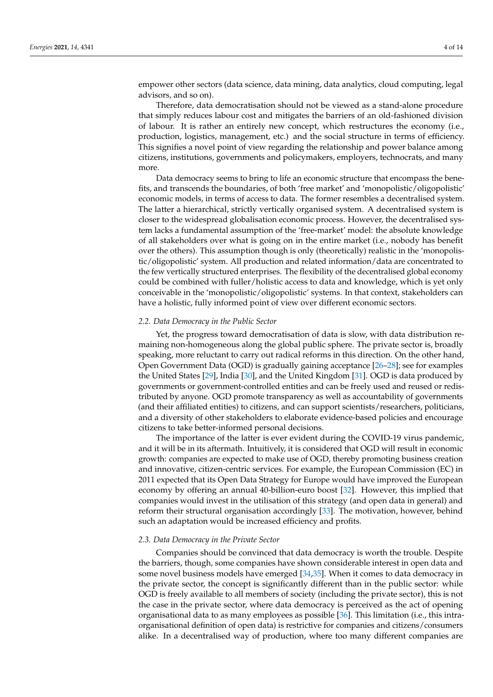empower other sectors (data science, data mining, data analytics, cloud computing, legal advisors, and so on).

Therefore, data democratisation should not be viewed as a stand-alone procedure that simply reduces labour cost and mitigates the barriers of an old-fashioned division of labour. It is rather an entirely new concept, which restructures the economy (i.e., production, logistics, management, etc.) and the social structure in terms of efficiency. This signifies a novel point of view regarding the relationship and power balance among citizens, institutions, governments and policymakers, employers, technocrats, and many more.

Data democracy seems to bring to life an economic structure that encompass the benefits, and transcends the boundaries, of both 'free market' and 'monopolistic/oligopolistic' economic models, in terms of access to data. The former resembles a decentralised system. The latter a hierarchical, strictly vertically organised system. A decentralised system is closer to the widespread globalisation economic process. However, the decentralised system lacks a fundamental assumption of the 'free-market' model: the absolute knowledge of all stakeholders over what is going on in the entire market (i.e., nobody has benefit over the others). This assumption though is only (theoretically) realistic in the 'monopolistic/oligopolistic' system. All production and related information/data are concentrated to the few vertically structured enterprises. The flexibility of the decentralised global economy could be combined with fuller/holistic access to data and knowledge, which is yet only conceivable in the 'monopolistic/oligopolistic' systems. In that context, stakeholders can have a holistic, fully informed point of view over different economic sectors.

## *2.2. Data Democracy in the Public Sector*

Yet, the progress toward democratisation of data is slow, with data distribution remaining non-homogeneous along the global public sphere. The private sector is, broadly speaking, more reluctant to carry out radical reforms in this direction. On the other hand, Open Government Data (OGD) is gradually gaining acceptance [\[26–](#page-11-14)[28\]](#page-11-15); see for examples the United States [\[29\]](#page-11-16), India [\[30\]](#page-11-17), and the United Kingdom [\[31\]](#page-11-18). OGD is data produced by governments or government-controlled entities and can be freely used and reused or redistributed by anyone. OGD promote transparency as well as accountability of governments (and their affiliated entities) to citizens, and can support scientists/researchers, politicians, and a diversity of other stakeholders to elaborate evidence-based policies and encourage citizens to take better-informed personal decisions.

The importance of the latter is ever evident during the COVID-19 virus pandemic, and it will be in its aftermath. Intuitively, it is considered that OGD will result in economic growth: companies are expected to make use of OGD, thereby promoting business creation and innovative, citizen-centric services. For example, the European Commission (EC) in 2011 expected that its Open Data Strategy for Europe would have improved the European economy by offering an annual 40-billion-euro boost [\[32\]](#page-11-19). However, this implied that companies would invest in the utilisation of this strategy (and open data in general) and reform their structural organisation accordingly [\[33\]](#page-11-20). The motivation, however, behind such an adaptation would be increased efficiency and profits.

#### *2.3. Data Democracy in the Private Sector*

Companies should be convinced that data democracy is worth the trouble. Despite the barriers, though, some companies have shown considerable interest in open data and some novel business models have emerged [\[34](#page-11-21)[,35\]](#page-11-22). When it comes to data democracy in the private sector, the concept is significantly different than in the public sector: while OGD is freely available to all members of society (including the private sector), this is not the case in the private sector, where data democracy is perceived as the act of opening organisational data to as many employees as possible [\[36\]](#page-11-23). This limitation (i.e., this intraorganisational definition of open data) is restrictive for companies and citizens/consumers alike. In a decentralised way of production, where too many different companies are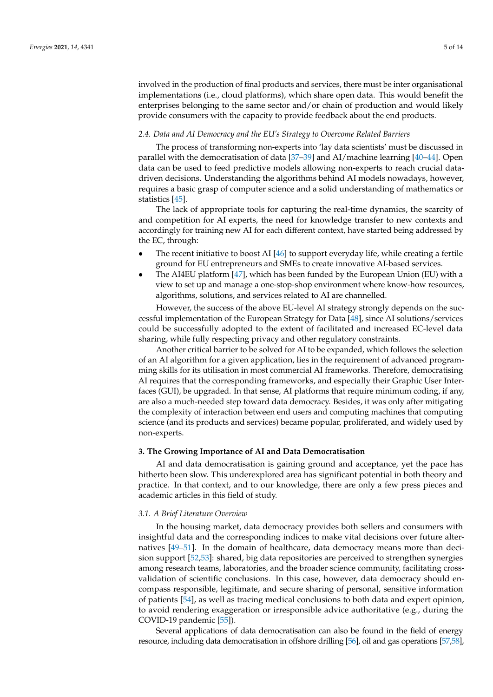involved in the production of final products and services, there must be inter organisational implementations (i.e., cloud platforms), which share open data. This would benefit the enterprises belonging to the same sector and/or chain of production and would likely provide consumers with the capacity to provide feedback about the end products.

### *2.4. Data and AI Democracy and the EU's Strategy to Overcome Related Barriers*

The process of transforming non-experts into 'lay data scientists' must be discussed in parallel with the democratisation of data [\[37–](#page-11-24)[39\]](#page-11-25) and AI/machine learning [\[40](#page-12-0)[–44\]](#page-12-1). Open data can be used to feed predictive models allowing non-experts to reach crucial datadriven decisions. Understanding the algorithms behind AI models nowadays, however, requires a basic grasp of computer science and a solid understanding of mathematics or statistics [\[45\]](#page-12-2).

The lack of appropriate tools for capturing the real-time dynamics, the scarcity of and competition for AI experts, the need for knowledge transfer to new contexts and accordingly for training new AI for each different context, have started being addressed by the EC, through:

- The recent initiative to boost AI  $[46]$  to support everyday life, while creating a fertile ground for EU entrepreneurs and SMEs to create innovative AI-based services.
- The AI4EU platform [\[47\]](#page-12-4), which has been funded by the European Union (EU) with a view to set up and manage a one-stop-shop environment where know-how resources, algorithms, solutions, and services related to AI are channelled.

However, the success of the above EU-level AI strategy strongly depends on the successful implementation of the European Strategy for Data [\[48\]](#page-12-5), since AI solutions/services could be successfully adopted to the extent of facilitated and increased EC-level data sharing, while fully respecting privacy and other regulatory constraints.

Another critical barrier to be solved for AI to be expanded, which follows the selection of an AI algorithm for a given application, lies in the requirement of advanced programming skills for its utilisation in most commercial AI frameworks. Therefore, democratising AI requires that the corresponding frameworks, and especially their Graphic User Interfaces (GUI), be upgraded. In that sense, AI platforms that require minimum coding, if any, are also a much-needed step toward data democracy. Besides, it was only after mitigating the complexity of interaction between end users and computing machines that computing science (and its products and services) became popular, proliferated, and widely used by non-experts.

#### <span id="page-4-0"></span>**3. The Growing Importance of AI and Data Democratisation**

AI and data democratisation is gaining ground and acceptance, yet the pace has hitherto been slow. This underexplored area has significant potential in both theory and practice. In that context, and to our knowledge, there are only a few press pieces and academic articles in this field of study.

#### *3.1. A Brief Literature Overview*

In the housing market, data democracy provides both sellers and consumers with insightful data and the corresponding indices to make vital decisions over future alternatives [\[49](#page-12-6)[–51\]](#page-12-7). In the domain of healthcare, data democracy means more than decision support [\[52,](#page-12-8)[53\]](#page-12-9): shared, big data repositories are perceived to strengthen synergies among research teams, laboratories, and the broader science community, facilitating crossvalidation of scientific conclusions. In this case, however, data democracy should encompass responsible, legitimate, and secure sharing of personal, sensitive information of patients [\[54\]](#page-12-10), as well as tracing medical conclusions to both data and expert opinion, to avoid rendering exaggeration or irresponsible advice authoritative (e.g., during the COVID-19 pandemic [\[55\]](#page-12-11)).

Several applications of data democratisation can also be found in the field of energy resource, including data democratisation in offshore drilling [\[56\]](#page-12-12), oil and gas operations [\[57](#page-12-13)[,58\]](#page-12-14),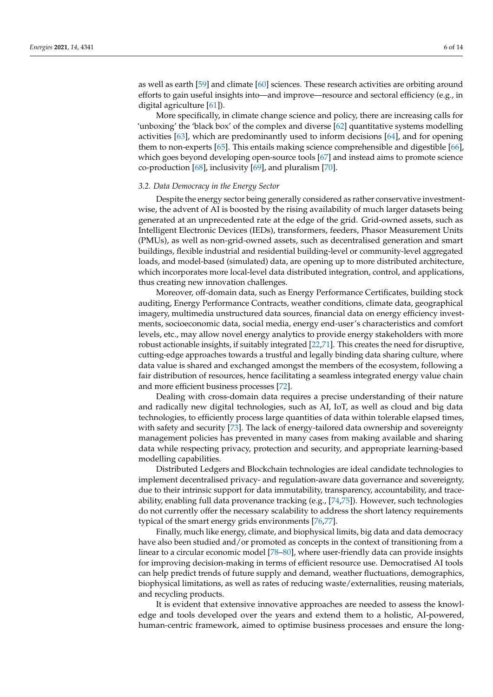as well as earth [\[59\]](#page-12-15) and climate [\[60\]](#page-12-16) sciences. These research activities are orbiting around efforts to gain useful insights into—and improve—resource and sectoral efficiency (e.g., in digital agriculture [\[61\]](#page-12-17)).

More specifically, in climate change science and policy, there are increasing calls for 'unboxing' the 'black box' of the complex and diverse [\[62\]](#page-12-18) quantitative systems modelling activities [\[63\]](#page-12-19), which are predominantly used to inform decisions [\[64\]](#page-12-20), and for opening them to non-experts [\[65\]](#page-12-21). This entails making science comprehensible and digestible [\[66\]](#page-12-22), which goes beyond developing open-source tools [\[67\]](#page-12-23) and instead aims to promote science co-production [\[68\]](#page-12-24), inclusivity [\[69\]](#page-12-25), and pluralism [\[70\]](#page-13-0).

### *3.2. Data Democracy in the Energy Sector*

Despite the energy sector being generally considered as rather conservative investmentwise, the advent of AI is boosted by the rising availability of much larger datasets being generated at an unprecedented rate at the edge of the grid. Grid-owned assets, such as Intelligent Electronic Devices (IEDs), transformers, feeders, Phasor Measurement Units (PMUs), as well as non-grid-owned assets, such as decentralised generation and smart buildings, flexible industrial and residential building-level or community-level aggregated loads, and model-based (simulated) data, are opening up to more distributed architecture, which incorporates more local-level data distributed integration, control, and applications, thus creating new innovation challenges.

Moreover, off-domain data, such as Energy Performance Certificates, building stock auditing, Energy Performance Contracts, weather conditions, climate data, geographical imagery, multimedia unstructured data sources, financial data on energy efficiency investments, socioeconomic data, social media, energy end-user's characteristics and comfort levels, etc., may allow novel energy analytics to provide energy stakeholders with more robust actionable insights, if suitably integrated [\[22](#page-11-10)[,71\]](#page-13-1). This creates the need for disruptive, cutting-edge approaches towards a trustful and legally binding data sharing culture, where data value is shared and exchanged amongst the members of the ecosystem, following a fair distribution of resources, hence facilitating a seamless integrated energy value chain and more efficient business processes [\[72\]](#page-13-2).

Dealing with cross-domain data requires a precise understanding of their nature and radically new digital technologies, such as AI, IoT, as well as cloud and big data technologies, to efficiently process large quantities of data within tolerable elapsed times, with safety and security [\[73\]](#page-13-3). The lack of energy-tailored data ownership and sovereignty management policies has prevented in many cases from making available and sharing data while respecting privacy, protection and security, and appropriate learning-based modelling capabilities.

Distributed Ledgers and Blockchain technologies are ideal candidate technologies to implement decentralised privacy- and regulation-aware data governance and sovereignty, due to their intrinsic support for data immutability, transparency, accountability, and traceability, enabling full data provenance tracking (e.g., [\[74,](#page-13-4)[75\]](#page-13-5)). However, such technologies do not currently offer the necessary scalability to address the short latency requirements typical of the smart energy grids environments [\[76,](#page-13-6)[77\]](#page-13-7).

Finally, much like energy, climate, and biophysical limits, big data and data democracy have also been studied and/or promoted as concepts in the context of transitioning from a linear to a circular economic model [\[78–](#page-13-8)[80\]](#page-13-9), where user-friendly data can provide insights for improving decision-making in terms of efficient resource use. Democratised AI tools can help predict trends of future supply and demand, weather fluctuations, demographics, biophysical limitations, as well as rates of reducing waste/externalities, reusing materials, and recycling products.

It is evident that extensive innovative approaches are needed to assess the knowledge and tools developed over the years and extend them to a holistic, AI-powered, human-centric framework, aimed to optimise business processes and ensure the long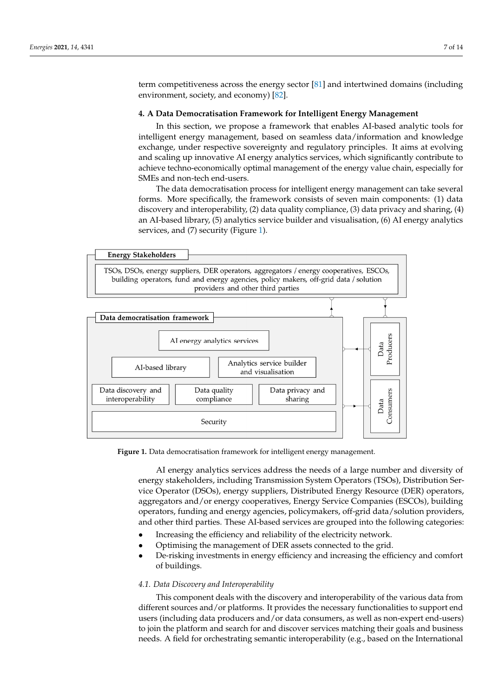term competitiveness across the energy sector [\[81\]](#page-13-10) and intertwined domains (including environment, society, and economy) [\[82\]](#page-13-11).

# <span id="page-6-0"></span>**4. A Data Democratisation Framework for Intelligent Energy Management 4. A Data Democratisation Framework for Intelligent Energy Management**

It is evident that extensive innovative approaches are needed to assess the knowledge

In this section, we propose a framework that enables AI-based analytic tools for intelligent energy management, based on seamless data/information and knowledge exchange, under respective sovereignty and regulatory principles. It aims at evolving and scaling up innovative AI energy analytics services, which significantly contribute to scaling up innovative AI energy analytics services, which significantly contribute to achieve techno-economically optimal management of the energy value chain, especially for achieve techno-economically optimal management of the energy value chain, especially SMEs and non-tech end-users.

The data democratisation process for intelligent energy management can take several The data democratisation process for intelligent energy management can take several forms. More specifically, the framework consists of seven main components: (1) data discovery and interoperability, (2) data quality compliance, (3) data privacy and sharing, (4) an AI-based library, (5) analytics service builder and visualisation, (6) AI energy analytics an AI-based library, (5) analytics service builder and visualisation, (6) AI energy analytics services, and (7) security (Figure [1\)](#page-6-1). services, and (7) security (Figure 1).

<span id="page-6-1"></span>

**Figure 1.** Data democratisation framework for intelligent energy management. **Figure 1.** Data democratisation framework for intelligent energy management.

AI energy analytics services address the needs of a large number and diversity of AI energy analytics services address the needs of a large number and diversity of energy stakeholders, including Transmission System Operators (TSOs), Distribution Ser-energy stakeholders, including Transmission System Operators (TSOs), Distribution Service Operator (DSOs), energy suppliers, Distributed Energy Resource (DER) operators, vice Operator (DSOs), energy suppliers, Distributed Energy Resource (DER) operators, aggregators and/or energy cooperatives, Energy Service Companies (ESCOs), building aggregators and/or energy cooperatives, Energy Service Companies (ESCOs), building operators, funding and energy agencies, policymakers, off-grid data/solution providers, operators, funding and energy agencies, policymakers, off-grid data/solution providers, and other third parties. These AI-based services are grouped into the following categories: and other third parties. These AI-based services are grouped into the following categories:

- Increasing the efficiency and reliability of the electricity network. Increasing the efficiency and reliability of the electricity network.
- Optimising the management of DER assets connected to the grid. Optimising the management of DER assets connected to the grid.
- De-risking investments in energy efficiency and increasing the efficiency and comfort De-risking investments in energy efficiency and increasing the efficiency and comfort of buildings.

## *4.1. Data Discovery and Interoperability*

This component deals with the discovery and interoperability of the various data from different sources and/or platforms. It provides the necessary functionalities to support end users (including data producers and/or data consumers, as well as non-expert end-users) to join the platform and search for and discover services matching their goals and business needs. A field for orchestrating semantic interoperability (e.g., based on the International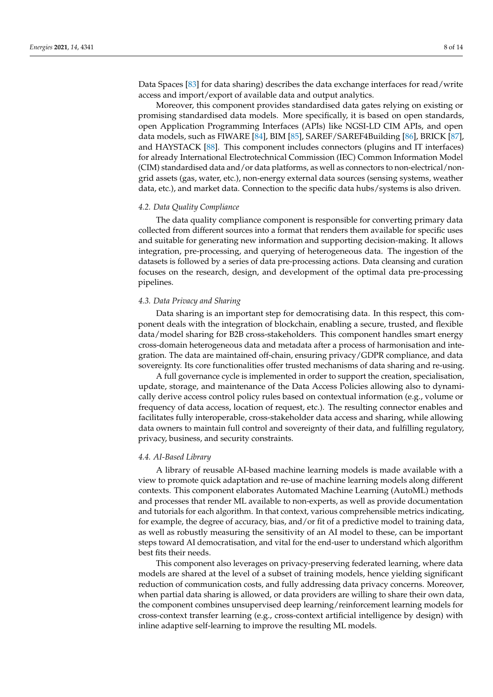Data Spaces [\[83\]](#page-13-12) for data sharing) describes the data exchange interfaces for read/write access and import/export of available data and output analytics.

Moreover, this component provides standardised data gates relying on existing or promising standardised data models. More specifically, it is based on open standards, open Application Programming Interfaces (APIs) like NGSI-LD CIM APIs, and open data models, such as FIWARE [\[84\]](#page-13-13), BIM [\[85\]](#page-13-14), SAREF/SAREF4Building [\[86\]](#page-13-15), BRICK [\[87\]](#page-13-16), and HAYSTACK [\[88\]](#page-13-17). This component includes connectors (plugins and IT interfaces) for already International Electrotechnical Commission (IEC) Common Information Model (CIM) standardised data and/or data platforms, as well as connectors to non-electrical/nongrid assets (gas, water, etc.), non-energy external data sources (sensing systems, weather data, etc.), and market data. Connection to the specific data hubs/systems is also driven.

### *4.2. Data Quality Compliance*

The data quality compliance component is responsible for converting primary data collected from different sources into a format that renders them available for specific uses and suitable for generating new information and supporting decision-making. It allows integration, pre-processing, and querying of heterogeneous data. The ingestion of the datasets is followed by a series of data pre-processing actions. Data cleansing and curation focuses on the research, design, and development of the optimal data pre-processing pipelines.

# *4.3. Data Privacy and Sharing*

Data sharing is an important step for democratising data. In this respect, this component deals with the integration of blockchain, enabling a secure, trusted, and flexible data/model sharing for B2B cross-stakeholders. This component handles smart energy cross-domain heterogeneous data and metadata after a process of harmonisation and integration. The data are maintained off-chain, ensuring privacy/GDPR compliance, and data sovereignty. Its core functionalities offer trusted mechanisms of data sharing and re-using.

A full governance cycle is implemented in order to support the creation, specialisation, update, storage, and maintenance of the Data Access Policies allowing also to dynamically derive access control policy rules based on contextual information (e.g., volume or frequency of data access, location of request, etc.). The resulting connector enables and facilitates fully interoperable, cross-stakeholder data access and sharing, while allowing data owners to maintain full control and sovereignty of their data, and fulfilling regulatory, privacy, business, and security constraints.

# *4.4. AI-Based Library*

A library of reusable AI-based machine learning models is made available with a view to promote quick adaptation and re-use of machine learning models along different contexts. This component elaborates Automated Machine Learning (AutoML) methods and processes that render ML available to non-experts, as well as provide documentation and tutorials for each algorithm. In that context, various comprehensible metrics indicating, for example, the degree of accuracy, bias, and/or fit of a predictive model to training data, as well as robustly measuring the sensitivity of an AI model to these, can be important steps toward AI democratisation, and vital for the end-user to understand which algorithm best fits their needs.

This component also leverages on privacy-preserving federated learning, where data models are shared at the level of a subset of training models, hence yielding significant reduction of communication costs, and fully addressing data privacy concerns. Moreover, when partial data sharing is allowed, or data providers are willing to share their own data, the component combines unsupervised deep learning/reinforcement learning models for cross-context transfer learning (e.g., cross-context artificial intelligence by design) with inline adaptive self-learning to improve the resulting ML models.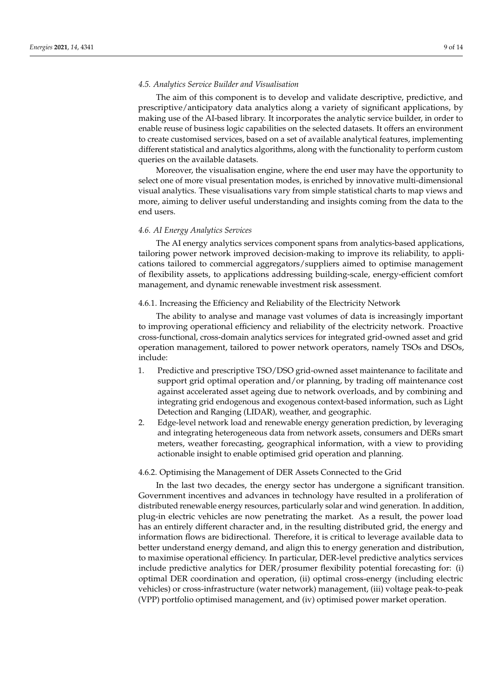## *4.5. Analytics Service Builder and Visualisation*

The aim of this component is to develop and validate descriptive, predictive, and prescriptive/anticipatory data analytics along a variety of significant applications, by making use of the AI-based library. It incorporates the analytic service builder, in order to enable reuse of business logic capabilities on the selected datasets. It offers an environment to create customised services, based on a set of available analytical features, implementing different statistical and analytics algorithms, along with the functionality to perform custom queries on the available datasets.

Moreover, the visualisation engine, where the end user may have the opportunity to select one of more visual presentation modes, is enriched by innovative multi-dimensional visual analytics. These visualisations vary from simple statistical charts to map views and more, aiming to deliver useful understanding and insights coming from the data to the end users.

## *4.6. AI Energy Analytics Services*

The AI energy analytics services component spans from analytics-based applications, tailoring power network improved decision-making to improve its reliability, to applications tailored to commercial aggregators/suppliers aimed to optimise management of flexibility assets, to applications addressing building-scale, energy-efficient comfort management, and dynamic renewable investment risk assessment.

4.6.1. Increasing the Efficiency and Reliability of the Electricity Network

The ability to analyse and manage vast volumes of data is increasingly important to improving operational efficiency and reliability of the electricity network. Proactive cross-functional, cross-domain analytics services for integrated grid-owned asset and grid operation management, tailored to power network operators, namely TSOs and DSOs, include:

- 1. Predictive and prescriptive TSO/DSO grid-owned asset maintenance to facilitate and support grid optimal operation and/or planning, by trading off maintenance cost against accelerated asset ageing due to network overloads, and by combining and integrating grid endogenous and exogenous context-based information, such as Light Detection and Ranging (LIDAR), weather, and geographic.
- 2. Edge-level network load and renewable energy generation prediction, by leveraging and integrating heterogeneous data from network assets, consumers and DERs smart meters, weather forecasting, geographical information, with a view to providing actionable insight to enable optimised grid operation and planning.

#### 4.6.2. Optimising the Management of DER Assets Connected to the Grid

In the last two decades, the energy sector has undergone a significant transition. Government incentives and advances in technology have resulted in a proliferation of distributed renewable energy resources, particularly solar and wind generation. In addition, plug-in electric vehicles are now penetrating the market. As a result, the power load has an entirely different character and, in the resulting distributed grid, the energy and information flows are bidirectional. Therefore, it is critical to leverage available data to better understand energy demand, and align this to energy generation and distribution, to maximise operational efficiency. In particular, DER-level predictive analytics services include predictive analytics for DER/prosumer flexibility potential forecasting for: (i) optimal DER coordination and operation, (ii) optimal cross-energy (including electric vehicles) or cross-infrastructure (water network) management, (iii) voltage peak-to-peak (VPP) portfolio optimised management, and (iv) optimised power market operation.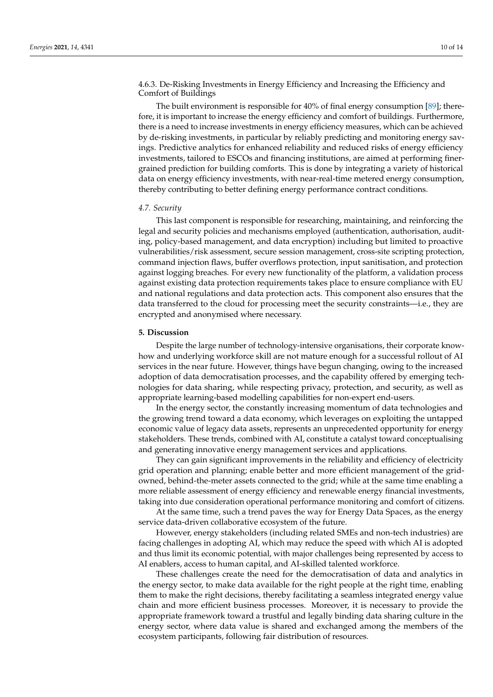4.6.3. De-Risking Investments in Energy Efficiency and Increasing the Efficiency and Comfort of Buildings

The built environment is responsible for 40% of final energy consumption [\[89\]](#page-13-18); therefore, it is important to increase the energy efficiency and comfort of buildings. Furthermore, there is a need to increase investments in energy efficiency measures, which can be achieved by de-risking investments, in particular by reliably predicting and monitoring energy savings. Predictive analytics for enhanced reliability and reduced risks of energy efficiency investments, tailored to ESCOs and financing institutions, are aimed at performing finergrained prediction for building comforts. This is done by integrating a variety of historical data on energy efficiency investments, with near-real-time metered energy consumption, thereby contributing to better defining energy performance contract conditions.

#### *4.7. Security*

This last component is responsible for researching, maintaining, and reinforcing the legal and security policies and mechanisms employed (authentication, authorisation, auditing, policy-based management, and data encryption) including but limited to proactive vulnerabilities/risk assessment, secure session management, cross-site scripting protection, command injection flaws, buffer overflows protection, input sanitisation, and protection against logging breaches. For every new functionality of the platform, a validation process against existing data protection requirements takes place to ensure compliance with EU and national regulations and data protection acts. This component also ensures that the data transferred to the cloud for processing meet the security constraints—i.e., they are encrypted and anonymised where necessary.

## **5. Discussion**

Despite the large number of technology-intensive organisations, their corporate knowhow and underlying workforce skill are not mature enough for a successful rollout of AI services in the near future. However, things have begun changing, owing to the increased adoption of data democratisation processes, and the capability offered by emerging technologies for data sharing, while respecting privacy, protection, and security, as well as appropriate learning-based modelling capabilities for non-expert end-users.

In the energy sector, the constantly increasing momentum of data technologies and the growing trend toward a data economy, which leverages on exploiting the untapped economic value of legacy data assets, represents an unprecedented opportunity for energy stakeholders. These trends, combined with AI, constitute a catalyst toward conceptualising and generating innovative energy management services and applications.

They can gain significant improvements in the reliability and efficiency of electricity grid operation and planning; enable better and more efficient management of the gridowned, behind-the-meter assets connected to the grid; while at the same time enabling a more reliable assessment of energy efficiency and renewable energy financial investments, taking into due consideration operational performance monitoring and comfort of citizens.

At the same time, such a trend paves the way for Energy Data Spaces, as the energy service data-driven collaborative ecosystem of the future.

However, energy stakeholders (including related SMEs and non-tech industries) are facing challenges in adopting AI, which may reduce the speed with which AI is adopted and thus limit its economic potential, with major challenges being represented by access to AI enablers, access to human capital, and AI-skilled talented workforce.

These challenges create the need for the democratisation of data and analytics in the energy sector, to make data available for the right people at the right time, enabling them to make the right decisions, thereby facilitating a seamless integrated energy value chain and more efficient business processes. Moreover, it is necessary to provide the appropriate framework toward a trustful and legally binding data sharing culture in the energy sector, where data value is shared and exchanged among the members of the ecosystem participants, following fair distribution of resources.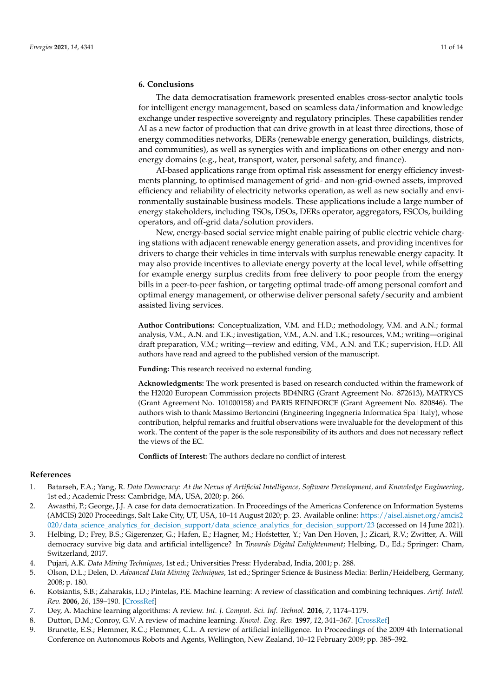# **6. Conclusions**

The data democratisation framework presented enables cross-sector analytic tools for intelligent energy management, based on seamless data/information and knowledge exchange under respective sovereignty and regulatory principles. These capabilities render AI as a new factor of production that can drive growth in at least three directions, those of energy commodities networks, DERs (renewable energy generation, buildings, districts, and communities), as well as synergies with and implications on other energy and nonenergy domains (e.g., heat, transport, water, personal safety, and finance).

AI-based applications range from optimal risk assessment for energy efficiency investments planning, to optimised management of grid- and non-grid-owned assets, improved efficiency and reliability of electricity networks operation, as well as new socially and environmentally sustainable business models. These applications include a large number of energy stakeholders, including TSOs, DSOs, DERs operator, aggregators, ESCOs, building operators, and off-grid data/solution providers.

New, energy-based social service might enable pairing of public electric vehicle charging stations with adjacent renewable energy generation assets, and providing incentives for drivers to charge their vehicles in time intervals with surplus renewable energy capacity. It may also provide incentives to alleviate energy poverty at the local level, while offsetting for example energy surplus credits from free delivery to poor people from the energy bills in a peer-to-peer fashion, or targeting optimal trade-off among personal comfort and optimal energy management, or otherwise deliver personal safety/security and ambient assisted living services.

**Author Contributions:** Conceptualization, V.M. and H.D.; methodology, V.M. and A.N.; formal analysis, V.M., A.N. and T.K.; investigation, V.M., A.N. and T.K.; resources, V.M.; writing—original draft preparation, V.M.; writing—review and editing, V.M., A.N. and T.K.; supervision, H.D. All authors have read and agreed to the published version of the manuscript.

**Funding:** This research received no external funding.

**Acknowledgments:** The work presented is based on research conducted within the framework of the H2020 European Commission projects BD4NRG (Grant Agreement No. 872613), MATRYCS (Grant Agreement No. 101000158) and PARIS REINFORCE (Grant Agreement No. 820846). The authors wish to thank Massimo Bertoncini (Engineering Ingegneria Informatica Spa|Italy), whose contribution, helpful remarks and fruitful observations were invaluable for the development of this work. The content of the paper is the sole responsibility of its authors and does not necessary reflect the views of the EC.

**Conflicts of Interest:** The authors declare no conflict of interest.

# **References**

- <span id="page-10-0"></span>1. Batarseh, F.A.; Yang, R. *Data Democracy: At the Nexus of Artificial Intelligence, Software Development, and Knowledge Engineering*, 1st ed.; Academic Press: Cambridge, MA, USA, 2020; p. 266.
- <span id="page-10-1"></span>2. Awasthi, P.; George, J.J. A case for data democratization. In Proceedings of the Americas Conference on Information Systems (AMCIS) 2020 Proceedings, Salt Lake City, UT, USA, 10–14 August 2020; p. 23. Available online: [https://aisel.aisnet.org/amcis2](https://aisel.aisnet.org/amcis2020/data_science_analytics_for_decision_support/data_science_analytics_for_decision_support/23) [020/data\\_science\\_analytics\\_for\\_decision\\_support/data\\_science\\_analytics\\_for\\_decision\\_support/23](https://aisel.aisnet.org/amcis2020/data_science_analytics_for_decision_support/data_science_analytics_for_decision_support/23) (accessed on 14 June 2021).
- <span id="page-10-2"></span>3. Helbing, D.; Frey, B.S.; Gigerenzer, G.; Hafen, E.; Hagner, M.; Hofstetter, Y.; Van Den Hoven, J.; Zicari, R.V.; Zwitter, A. Will democracy survive big data and artificial intelligence? In *Towards Digital Enlightenment*; Helbing, D., Ed.; Springer: Cham, Switzerland, 2017.
- <span id="page-10-3"></span>4. Pujari, A.K. *Data Mining Techniques*, 1st ed.; Universities Press: Hyderabad, India, 2001; p. 288.
- <span id="page-10-4"></span>5. Olson, D.L.; Delen, D. *Advanced Data Mining Techniques*, 1st ed.; Springer Science & Business Media: Berlin/Heidelberg, Germany, 2008; p. 180.
- <span id="page-10-5"></span>6. Kotsiantis, S.B.; Zaharakis, I.D.; Pintelas, P.E. Machine learning: A review of classification and combining techniques. *Artif. Intell. Rev.* **2006**, *26*, 159–190. [\[CrossRef\]](http://doi.org/10.1007/s10462-007-9052-3)
- 7. Dey, A. Machine learning algorithms: A review. *Int. J. Comput. Sci. Inf. Technol.* **2016**, *7*, 1174–1179.
- <span id="page-10-6"></span>8. Dutton, D.M.; Conroy, G.V. A review of machine learning. *Knowl. Eng. Rev.* **1997**, *12*, 341–367. [\[CrossRef\]](http://doi.org/10.1017/S026988899700101X)
- <span id="page-10-7"></span>9. Brunette, E.S.; Flemmer, R.C.; Flemmer, C.L. A review of artificial intelligence. In Proceedings of the 2009 4th International Conference on Autonomous Robots and Agents, Wellington, New Zealand, 10–12 February 2009; pp. 385–392.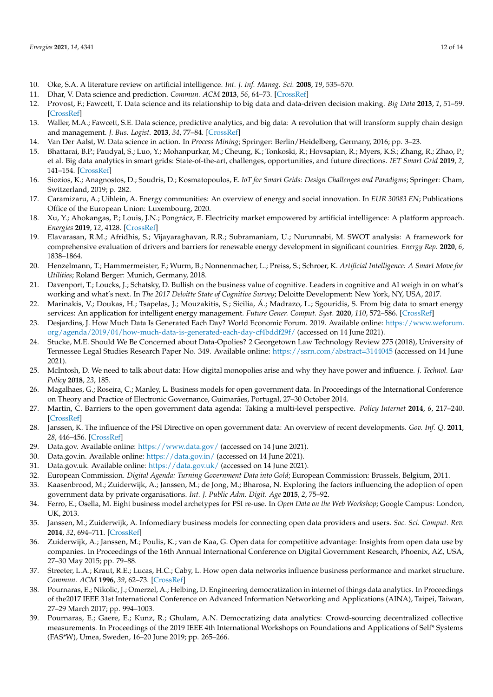- <span id="page-11-0"></span>10. Oke, S.A. A literature review on artificial intelligence. *Int. J. Inf. Manag. Sci.* **2008**, *19*, 535–570.
- <span id="page-11-1"></span>11. Dhar, V. Data science and prediction. *Commun. ACM* **2013**, *56*, 64–73. [\[CrossRef\]](http://doi.org/10.1145/2500499)
- 12. Provost, F.; Fawcett, T. Data science and its relationship to big data and data-driven decision making. *Big Data* **2013**, *1*, 51–59. [\[CrossRef\]](http://doi.org/10.1089/big.2013.1508)
- 13. Waller, M.A.; Fawcett, S.E. Data science, predictive analytics, and big data: A revolution that will transform supply chain design and management. *J. Bus. Logist.* **2013**, *34*, 77–84. [\[CrossRef\]](http://doi.org/10.1111/jbl.12010)
- <span id="page-11-2"></span>14. Van Der Aalst, W. Data science in action. In *Process Mining*; Springer: Berlin/Heidelberg, Germany, 2016; pp. 3–23.
- <span id="page-11-3"></span>15. Bhattarai, B.P.; Paudyal, S.; Luo, Y.; Mohanpurkar, M.; Cheung, K.; Tonkoski, R.; Hovsapian, R.; Myers, K.S.; Zhang, R.; Zhao, P.; et al. Big data analytics in smart grids: State-of-the-art, challenges, opportunities, and future directions. *IET Smart Grid* **2019**, *2*, 141–154. [\[CrossRef\]](http://doi.org/10.1049/iet-stg.2018.0261)
- <span id="page-11-4"></span>16. Siozios, K.; Anagnostos, D.; Soudris, D.; Kosmatopoulos, E. *IoT for Smart Grids: Design Challenges and Paradigms*; Springer: Cham, Switzerland, 2019; p. 282.
- <span id="page-11-5"></span>17. Caramizaru, A.; Uihlein, A. Energy communities: An overview of energy and social innovation. In *EUR 30083 EN*; Publications Office of the European Union: Luxembourg, 2020.
- <span id="page-11-6"></span>18. Xu, Y.; Ahokangas, P.; Louis, J.N.; Pongrácz, E. Electricity market empowered by artificial intelligence: A platform approach. *Energies* **2019**, *12*, 4128. [\[CrossRef\]](http://doi.org/10.3390/en12214128)
- <span id="page-11-7"></span>19. Elavarasan, R.M.; Afridhis, S.; Vijayaraghavan, R.R.; Subramaniam, U.; Nurunnabi, M. SWOT analysis: A framework for comprehensive evaluation of drivers and barriers for renewable energy development in significant countries. *Energy Rep.* **2020**, *6*, 1838–1864.
- <span id="page-11-8"></span>20. Henzelmann, T.; Hammermeister, F.; Wurm, B.; Nonnenmacher, L.; Preiss, S.; Schroer, K. *Artificial Intelligence: A Smart Move for Utilities*; Roland Berger: Munich, Germany, 2018.
- <span id="page-11-9"></span>21. Davenport, T.; Loucks, J.; Schatsky, D. Bullish on the business value of cognitive. Leaders in cognitive and AI weigh in on what's working and what's next. In *The 2017 Deloitte State of Cognitive Survey*; Deloitte Development: New York, NY, USA, 2017.
- <span id="page-11-10"></span>22. Marinakis, V.; Doukas, H.; Tsapelas, J.; Mouzakitis, S.; Sicilia, Á.; Madrazo, L.; Sgouridis, S. From big data to smart energy services: An application for intelligent energy management. *Future Gener. Comput. Syst.* **2020**, *110*, 572–586. [\[CrossRef\]](http://doi.org/10.1016/j.future.2018.04.062)
- <span id="page-11-11"></span>23. Desjardins, J. How Much Data Is Generated Each Day? World Economic Forum. 2019. Available online: [https://www.weforum.](https://www.weforum.org/agenda/2019/04/how-much-data-is-generated-each-day-cf4bddf29f/) [org/agenda/2019/04/how-much-data-is-generated-each-day-cf4bddf29f/](https://www.weforum.org/agenda/2019/04/how-much-data-is-generated-each-day-cf4bddf29f/) (accessed on 14 June 2021).
- <span id="page-11-12"></span>24. Stucke, M.E. Should We Be Concerned about Data-Opolies? 2 Georgetown Law Technology Review 275 (2018), University of Tennessee Legal Studies Research Paper No. 349. Available online: <https://ssrn.com/abstract=3144045> (accessed on 14 June 2021).
- <span id="page-11-13"></span>25. McIntosh, D. We need to talk about data: How digital monopolies arise and why they have power and influence. *J. Technol. Law Policy* **2018**, *23*, 185.
- <span id="page-11-14"></span>26. Magalhaes, G.; Roseira, C.; Manley, L. Business models for open government data. In Proceedings of the International Conference on Theory and Practice of Electronic Governance, Guimarães, Portugal, 27–30 October 2014.
- 27. Martin, C. Barriers to the open government data agenda: Taking a multi-level perspective. *Policy Internet* **2014**, *6*, 217–240. [\[CrossRef\]](http://doi.org/10.1002/1944-2866.POI367)
- <span id="page-11-15"></span>28. Janssen, K. The influence of the PSI Directive on open government data: An overview of recent developments. *Gov. Inf. Q.* **2011**, *28*, 446–456. [\[CrossRef\]](http://doi.org/10.1016/j.giq.2011.01.004)
- <span id="page-11-16"></span>29. Data.gov. Available online: <https://www.data.gov/> (accessed on 14 June 2021).
- <span id="page-11-17"></span>30. Data.gov.in. Available online: <https://data.gov.in/> (accessed on 14 June 2021).
- <span id="page-11-18"></span>31. Data.gov.uk. Available online: <https://data.gov.uk/> (accessed on 14 June 2021).
- <span id="page-11-19"></span>32. European Commission. *Digital Agenda: Turning Government Data into Gold*; European Commission: Brussels, Belgium, 2011.
- <span id="page-11-20"></span>33. Kaasenbrood, M.; Zuiderwijk, A.; Janssen, M.; de Jong, M.; Bharosa, N. Exploring the factors influencing the adoption of open government data by private organisations. *Int. J. Public Adm. Digit. Age* **2015**, *2*, 75–92.
- <span id="page-11-21"></span>34. Ferro, E.; Osella, M. Eight business model archetypes for PSI re-use. In *Open Data on the Web Workshop*; Google Campus: London, UK, 2013.
- <span id="page-11-22"></span>35. Janssen, M.; Zuiderwijk, A. Infomediary business models for connecting open data providers and users. *Soc. Sci. Comput. Rev.* **2014**, *32*, 694–711. [\[CrossRef\]](http://doi.org/10.1177/0894439314525902)
- <span id="page-11-23"></span>36. Zuiderwijk, A.; Janssen, M.; Poulis, K.; van de Kaa, G. Open data for competitive advantage: Insights from open data use by companies. In Proceedings of the 16th Annual International Conference on Digital Government Research, Phoenix, AZ, USA, 27–30 May 2015; pp. 79–88.
- <span id="page-11-24"></span>37. Streeter, L.A.; Kraut, R.E.; Lucas, H.C.; Caby, L. How open data networks influence business performance and market structure. *Commun. ACM* **1996**, *39*, 62–73. [\[CrossRef\]](http://doi.org/10.1145/233977.233998)
- 38. Pournaras, E.; Nikolic, J.; Omerzel, A.; Helbing, D. Engineering democratization in internet of things data analytics. In Proceedings of the2017 IEEE 31st International Conference on Advanced Information Networking and Applications (AINA), Taipei, Taiwan, 27–29 March 2017; pp. 994–1003.
- <span id="page-11-25"></span>39. Pournaras, E.; Gaere, E.; Kunz, R.; Ghulam, A.N. Democratizing data analytics: Crowd-sourcing decentralized collective measurements. In Proceedings of the 2019 IEEE 4th International Workshops on Foundations and Applications of Self\* Systems (FAS\*W), Umea, Sweden, 16–20 June 2019; pp. 265–266.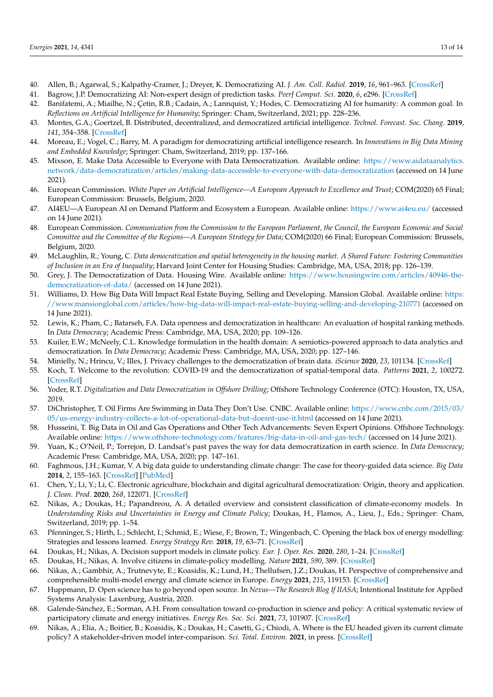- <span id="page-12-0"></span>40. Allen, B.; Agarwal, S.; Kalpathy-Cramer, J.; Dreyer, K. Democratizing AI. *J. Am. Coll. Radiol.* **2019**, *16*, 961–963. [\[CrossRef\]](http://doi.org/10.1016/j.jacr.2019.04.023)
- 41. Bagrow, J.P. Democratizing AI: Non-expert design of prediction tasks. *PeerJ Comput. Sci.* **2020**, *6*, e296. [\[CrossRef\]](http://doi.org/10.7717/peerj-cs.296)
- 42. Banifatemi, A.; Miailhe, N.; Çetin, R.B.; Cadain, A.; Lannquist, Y.; Hodes, C. Democratizing AI for humanity: A common goal. In *Reflections on Artificial Intelligence for Humanity*; Springer: Cham, Switzerland, 2021; pp. 228–236.
- 43. Montes, G.A.; Goertzel, B. Distributed, decentralized, and democratized artificial intelligence. *Technol. Forecast. Soc. Chang.* **2019**, *141*, 354–358. [\[CrossRef\]](http://doi.org/10.1016/j.techfore.2018.11.010)
- <span id="page-12-1"></span>44. Moreau, E.; Vogel, C.; Barry, M. A paradigm for democratizing artificial intelligence research. In *Innovations in Big Data Mining and Embedded Knowledge*; Springer: Cham, Switzerland, 2019; pp. 137–166.
- <span id="page-12-2"></span>45. Mixson, E. Make Data Accessible to Everyone with Data Democratization. Available online: [https://www.aidataanalytics.](https://www.aidataanalytics.network/data-democratization/articles/making-data-accessible-to-everyone-with-data-democratization) [network/data-democratization/articles/making-data-accessible-to-everyone-with-data-democratization](https://www.aidataanalytics.network/data-democratization/articles/making-data-accessible-to-everyone-with-data-democratization) (accessed on 14 June 2021).
- <span id="page-12-3"></span>46. European Commission. *White Paper on Artificial Intelligence—A European Approach to Excellence and Trust;* COM(2020) 65 Final; European Commission: Brussels, Belgium, 2020.
- <span id="page-12-4"></span>47. AI4EU—A European AI on Demand Platform and Ecosystem a European. Available online: <https://www.ai4eu.eu/> (accessed on 14 June 2021).
- <span id="page-12-5"></span>48. European Commission. *Communication from the Commission to the European Parliament, the Council, the European Economic and Social Committee and the Committee of the Regions—A European Strategy for Data*; COM(2020) 66 Final; European Commission: Brussels, Belgium, 2020.
- <span id="page-12-6"></span>49. McLaughlin, R.; Young, C. *Data democratization and spatial heterogeneity in the housing market. A Shared Future: Fostering Communities of Inclusion in an Era of Inequality*; Harvard Joint Center for Housing Studies: Cambridge, MA, USA, 2018; pp. 126–139.
- 50. Grey, J. The Democratization of Data. Housing Wire. Available online: [https://www.housingwire.com/articles/40946-the](https://www.housingwire.com/articles/40946-the-democratization-of-data/)[democratization-of-data/](https://www.housingwire.com/articles/40946-the-democratization-of-data/) (accessed on 14 June 2021).
- <span id="page-12-7"></span>51. Williams, D. How Big Data Will Impact Real Estate Buying, Selling and Developing. Mansion Global. Available online: [https:](https://www.mansionglobal.com/articles/how-big-data-will-impact-real-estate-buying-selling-and-developing-210771) [//www.mansionglobal.com/articles/how-big-data-will-impact-real-estate-buying-selling-and-developing-210771](https://www.mansionglobal.com/articles/how-big-data-will-impact-real-estate-buying-selling-and-developing-210771) (accessed on 14 June 2021).
- <span id="page-12-8"></span>52. Lewis, K.; Pham, C.; Batarseh, F.A. Data openness and democratization in healthcare: An evaluation of hospital ranking methods. In *Data Democracy*; Academic Press: Cambridge, MA, USA, 2020; pp. 109–126.
- <span id="page-12-9"></span>53. Kuiler, E.W.; McNeely, C.L. Knowledge formulation in the health domain: A semiotics-powered approach to data analytics and democratization. In *Data Democracy*; Academic Press: Cambridge, MA, USA, 2020; pp. 127–146.
- <span id="page-12-10"></span>54. Minielly, N.; Hrincu, V.; Illes, J. Privacy challenges to the democratization of brain data. *iScience* **2020**, *23*, 101134. [\[CrossRef\]](http://doi.org/10.1016/j.isci.2020.101134)
- <span id="page-12-11"></span>55. Koch, T. Welcome to the revolution: COVID-19 and the democratization of spatial-temporal data. *Patterns* **2021**, *2*, 100272. [\[CrossRef\]](http://doi.org/10.1016/j.patter.2021.100272)
- <span id="page-12-12"></span>56. Yoder, R.T. *Digitalization and Data Democratization in Offshore Drilling*; Offshore Technology Conference (OTC): Houston, TX, USA, 2019.
- <span id="page-12-13"></span>57. DiChristopher, T. Oil Firms Are Swimming in Data They Don't Use. CNBC. Available online: [https://www.cnbc.com/2015/03/](https://www.cnbc.com/2015/03/05/us-energy-industry-collects-a-lot-of-operational-data-but-doesnt-use-it.html) [05/us-energy-industry-collects-a-lot-of-operational-data-but-doesnt-use-it.html](https://www.cnbc.com/2015/03/05/us-energy-industry-collects-a-lot-of-operational-data-but-doesnt-use-it.html) (accessed on 14 June 2021).
- <span id="page-12-14"></span>58. Husseini, T. Big Data in Oil and Gas Operations and Other Tech Advancements: Seven Expert Opinions. Offshore Technology. Available online: <https://www.offshore-technology.com/features/big-data-in-oil-and-gas-tech/> (accessed on 14 June 2021).
- <span id="page-12-15"></span>59. Yuan, K.; O'Neil, P.; Torrejon, D. Landsat's past paves the way for data democratization in earth science. In *Data Democracy*; Academic Press: Cambridge, MA, USA, 2020; pp. 147–161.
- <span id="page-12-16"></span>60. Faghmous, J.H.; Kumar, V. A big data guide to understanding climate change: The case for theory-guided data science. *Big Data* **2014**, *2*, 155–163. [\[CrossRef\]](http://doi.org/10.1089/big.2014.0026) [\[PubMed\]](http://www.ncbi.nlm.nih.gov/pubmed/25276499)
- <span id="page-12-17"></span>61. Chen, Y.; Li, Y.; Li, C. Electronic agriculture, blockchain and digital agricultural democratization: Origin, theory and application. *J. Clean. Prod.* **2020**, *268*, 122071. [\[CrossRef\]](http://doi.org/10.1016/j.jclepro.2020.122071)
- <span id="page-12-18"></span>62. Nikas, A.; Doukas, H.; Papandreou, A. A detailed overview and consistent classification of climate-economy models. In *Understanding Risks and Uncertainties in Energy and Climate Policy*; Doukas, H., Flamos, A., Lieu, J., Eds.; Springer: Cham, Switzerland, 2019; pp. 1–54.
- <span id="page-12-19"></span>63. Pfenninger, S.; Hirth, L.; Schlecht, I.; Schmid, E.; Wiese, F.; Brown, T.; Wingenbach, C. Opening the black box of energy modelling: Strategies and lessons learned. *Energy Strategy Rev.* **2018**, *19*, 63–71. [\[CrossRef\]](http://doi.org/10.1016/j.esr.2017.12.002)
- <span id="page-12-20"></span>64. Doukas, H.; Nikas, A. Decision support models in climate policy. *Eur. J. Oper. Res.* **2020**, *280*, 1–24. [\[CrossRef\]](http://doi.org/10.1016/j.ejor.2019.01.017)
- <span id="page-12-21"></span>65. Doukas, H.; Nikas, A. Involve citizens in climate-policy modelling. *Nature* **2021**, *590*, 389. [\[CrossRef\]](http://doi.org/10.1038/d41586-021-00283-w)
- <span id="page-12-22"></span>66. Nikas, A.; Gambhir, A.; Trutnevyte, E.; Koasidis, K.; Lund, H.; Thellufsen, J.Z.; Doukas, H. Perspective of comprehensive and comprehensible multi-model energy and climate science in Europe. *Energy* **2021**, *215*, 119153. [\[CrossRef\]](http://doi.org/10.1016/j.energy.2020.119153)
- <span id="page-12-23"></span>67. Huppmann, D. Open science has to go beyond open source. In *Nexus—The Research Blog If IIASA*; Intentional Institute for Applied Systems Analysis: Laxenburg, Austria, 2020.
- <span id="page-12-24"></span>68. Galende-Sánchez, E.; Sorman, A.H. From consultation toward co-production in science and policy: A critical systematic review of participatory climate and energy initiatives. *Energy Res. Soc. Sci.* **2021**, *73*, 101907. [\[CrossRef\]](http://doi.org/10.1016/j.erss.2020.101907)
- <span id="page-12-25"></span>69. Nikas, A.; Elia, A.; Boitier, B.; Koasidis, K.; Doukas, H.; Casetti, G.; Chiodi, A. Where is the EU headed given its current climate policy? A stakeholder-driven model inter-comparison. *Sci. Total. Environ.* **2021**, in press. [\[CrossRef\]](http://doi.org/10.1016/j.scitotenv.2021.148549)